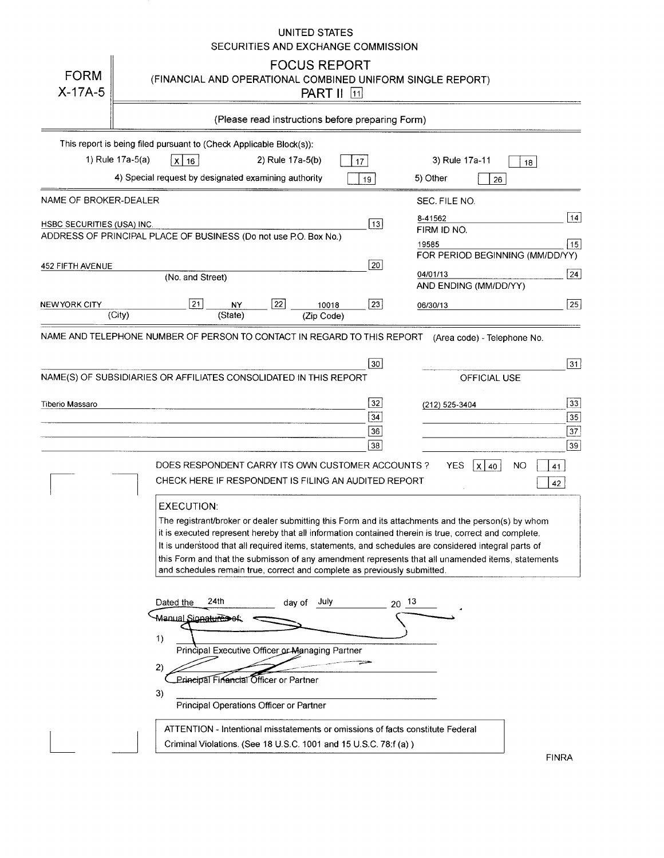## UNITED STATES SECURITIES AND EXCHANGE COMMISSION

| <b>FORM</b><br>$X-17A-5$          | <b>FOCUS REPORT</b><br>(FINANCIAL AND OPERATIONAL COMBINED UNIFORM SINGLE REPORT)<br><b>PART II</b> [11]                                                                                                                                                                                                                                                                                                                                                                                                                                                                                                                              |                                                                                |  |  |  |  |
|-----------------------------------|---------------------------------------------------------------------------------------------------------------------------------------------------------------------------------------------------------------------------------------------------------------------------------------------------------------------------------------------------------------------------------------------------------------------------------------------------------------------------------------------------------------------------------------------------------------------------------------------------------------------------------------|--------------------------------------------------------------------------------|--|--|--|--|
|                                   | (Please read instructions before preparing Form)                                                                                                                                                                                                                                                                                                                                                                                                                                                                                                                                                                                      |                                                                                |  |  |  |  |
|                                   | This report is being filed pursuant to (Check Applicable Block(s)):<br>1) Rule 17a-5(a)<br>$x \mid 16$<br>2) Rule 17a-5(b)<br>17<br>4) Special request by designated examining authority<br>19                                                                                                                                                                                                                                                                                                                                                                                                                                        | 3) Rule 17a-11<br>18<br>5) Other<br>26                                         |  |  |  |  |
| NAME OF BROKER-DEALER             |                                                                                                                                                                                                                                                                                                                                                                                                                                                                                                                                                                                                                                       | SEC. FILE NO.                                                                  |  |  |  |  |
| <b>HSBC SECURITIES (USA) INC.</b> | $\boxed{13}$<br>ADDRESS OF PRINCIPAL PLACE OF BUSINESS (Do not use P.O. Box No.)                                                                                                                                                                                                                                                                                                                                                                                                                                                                                                                                                      | 14<br>8-41562<br>FIRM ID NO.<br>15<br>19585<br>FOR PERIOD BEGINNING (MM/DD/YY) |  |  |  |  |
| <b>452 FIFTH AVENUE</b>           | 20<br>(No. and Street)                                                                                                                                                                                                                                                                                                                                                                                                                                                                                                                                                                                                                | 24 <br>04/01/13<br>AND ENDING (MM/DD/YY)                                       |  |  |  |  |
| NEW YORK CITY                     | $\overline{22}$<br>21<br>$\overline{23}$<br>NY<br>10018<br>(State)<br>(City)<br>(Zip Code)                                                                                                                                                                                                                                                                                                                                                                                                                                                                                                                                            | 25<br>06/30/13                                                                 |  |  |  |  |
|                                   | NAME AND TELEPHONE NUMBER OF PERSON TO CONTACT IN REGARD TO THIS REPORT<br>30 <sup>2</sup><br>NAME(S) OF SUBSIDIARIES OR AFFILIATES CONSOLIDATED IN THIS REPORT                                                                                                                                                                                                                                                                                                                                                                                                                                                                       | (Area code) - Telephone No.<br> 31 <br><b>OFFICIAL USE</b>                     |  |  |  |  |
| Tiberio Massaro                   | 32 <br>34<br>36<br>38                                                                                                                                                                                                                                                                                                                                                                                                                                                                                                                                                                                                                 | 33 <br>(212) 525-3404<br>$\sqrt{35}$<br>37<br>39                               |  |  |  |  |
|                                   | DOES RESPONDENT CARRY ITS OWN CUSTOMER ACCOUNTS?<br>CHECK HERE IF RESPONDENT IS FILING AN AUDITED REPORT<br><b>EXECUTION:</b><br>The registrant/broker or dealer submitting this Form and its attachments and the person(s) by whom<br>it is executed represent hereby that all information contained therein is true, correct and complete.<br>It is understood that all required items, statements, and schedules are considered integral parts of<br>this Form and that the submisson of any amendment represents that all unamended items, statements<br>and schedules remain true, correct and complete as previously submitted. | <b>YES</b><br>NO.<br>$\mathsf{x}$<br>40<br>41<br>42                            |  |  |  |  |
|                                   | 24th<br>Dated the<br>July<br>$20^{-13}$<br>day of<br>Manu <u>al Signa<del>tureS</del>ef</u><br>1)<br>Principal Executive Officer or Managing Partner<br>2)<br><b>Letincipal Financial Officer or Partner</b><br>3)<br>Principal Operations Officer or Partner<br>ATTENTION - Intentional misstatements or omissions of facts constitute Federal                                                                                                                                                                                                                                                                                       |                                                                                |  |  |  |  |
|                                   | Criminal Violations. (See 18 U.S.C. 1001 and 15 U.S.C. 78:f (a))                                                                                                                                                                                                                                                                                                                                                                                                                                                                                                                                                                      |                                                                                |  |  |  |  |

FINRA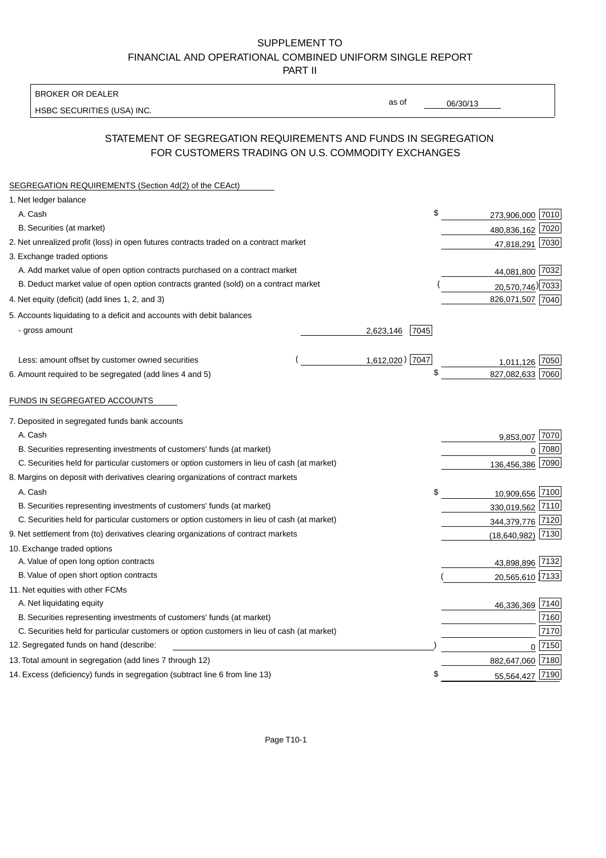## SUPPLEMENT TO FINANCIAL AND OPERATIONAL COMBINED UNIFORM SINGLE REPORT PART II

#### BROKER OR DEALER

HSBC SECURITIES (USA) INC.

06/30/13

as of

## STATEMENT OF SEGREGATION REQUIREMENTS AND FUNDS IN SEGREGATION FOR CUSTOMERS TRADING ON U.S. COMMODITY EXCHANGES

| SEGREGATION REQUIREMENTS (Section 4d(2) of the CEAct)                                       |                   |                  |      |
|---------------------------------------------------------------------------------------------|-------------------|------------------|------|
| 1. Net ledger balance                                                                       |                   |                  |      |
| A. Cash                                                                                     | \$                | 273,906,000 7010 |      |
| B. Securities (at market)                                                                   |                   | 480,836,162 7020 |      |
| 2. Net unrealized profit (loss) in open futures contracts traded on a contract market       |                   | 47,818,291 7030  |      |
| 3. Exchange traded options                                                                  |                   |                  |      |
| A. Add market value of open option contracts purchased on a contract market                 |                   | 44,081,800 7032  |      |
| B. Deduct market value of open option contracts granted (sold) on a contract market         |                   | 20,570,746) 7033 |      |
| 4. Net equity (deficit) (add lines 1, 2, and 3)                                             |                   | 826,071,507 7040 |      |
| 5. Accounts liquidating to a deficit and accounts with debit balances                       |                   |                  |      |
| - gross amount                                                                              | 7045<br>2,623,146 |                  |      |
|                                                                                             |                   |                  |      |
| Less: amount offset by customer owned securities                                            | 1,612,020) 7047   | 1,011,126        | 7050 |
| 6. Amount required to be segregated (add lines 4 and 5)                                     | \$                | 827,082,633 7060 |      |
|                                                                                             |                   |                  |      |
| FUNDS IN SEGREGATED ACCOUNTS                                                                |                   |                  |      |
| 7. Deposited in segregated funds bank accounts                                              |                   |                  |      |
| A. Cash                                                                                     |                   | 9,853,007        | 7070 |
| B. Securities representing investments of customers' funds (at market)                      |                   | 0                | 7080 |
| C. Securities held for particular customers or option customers in lieu of cash (at market) |                   | 136,456,386      | 7090 |
| 8. Margins on deposit with derivatives clearing organizations of contract markets           |                   |                  |      |
| A. Cash                                                                                     | \$                | 10,909,656       | 7100 |
| B. Securities representing investments of customers' funds (at market)                      |                   | 330,019,562      | 7110 |
| C. Securities held for particular customers or option customers in lieu of cash (at market) |                   | 344,379,776      | 7120 |
| 9. Net settlement from (to) derivatives clearing organizations of contract markets          |                   | (18, 640, 982)   | 7130 |
| 10. Exchange traded options                                                                 |                   |                  |      |
| A. Value of open long option contracts                                                      |                   | 43,898,896       | 7132 |
| B. Value of open short option contracts                                                     |                   | 20,565,610 7133  |      |
| 11. Net equities with other FCMs                                                            |                   |                  |      |
| A. Net liquidating equity                                                                   |                   | 46,336,369 7140  |      |
| B. Securities representing investments of customers' funds (at market)                      |                   |                  | 7160 |
| C. Securities held for particular customers or option customers in lieu of cash (at market) |                   |                  | 7170 |
| 12. Segregated funds on hand (describe:                                                     |                   | $0\sqrt{7150}$   |      |
| 13. Total amount in segregation (add lines 7 through 12)                                    |                   | 882,647,060 7180 |      |
| 14. Excess (deficiency) funds in segregation (subtract line 6 from line 13)                 | \$                | 55,564,427 7190  |      |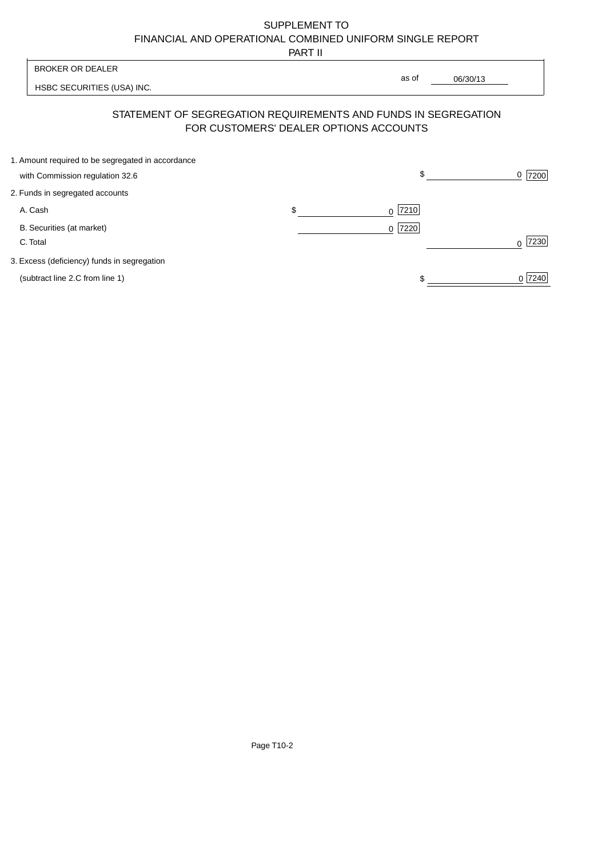# SUPPLEMENT TO FINANCIAL AND OPERATIONAL COMBINED UNIFORM SINGLE REPORT

PART II

|                                                   | .  |                                                                                                          |                  |
|---------------------------------------------------|----|----------------------------------------------------------------------------------------------------------|------------------|
| <b>BROKER OR DEALER</b>                           |    |                                                                                                          |                  |
| HSBC SECURITIES (USA) INC.                        |    | as of<br>06/30/13                                                                                        |                  |
|                                                   |    | STATEMENT OF SEGREGATION REQUIREMENTS AND FUNDS IN SEGREGATION<br>FOR CUSTOMERS' DEALER OPTIONS ACCOUNTS |                  |
| 1. Amount required to be segregated in accordance |    |                                                                                                          |                  |
| with Commission regulation 32.6                   |    | \$                                                                                                       | 7200<br>0        |
| 2. Funds in segregated accounts                   |    |                                                                                                          |                  |
| A. Cash                                           | \$ | 7210<br>0                                                                                                |                  |
| B. Securities (at market)                         |    | 7220<br>0 <sup>1</sup>                                                                                   |                  |
| C. Total                                          |    |                                                                                                          | 7230<br>$\Omega$ |
| 3. Excess (deficiency) funds in segregation       |    |                                                                                                          |                  |
| (subtract line 2.C from line 1)                   |    |                                                                                                          | 0 7240           |
|                                                   |    |                                                                                                          |                  |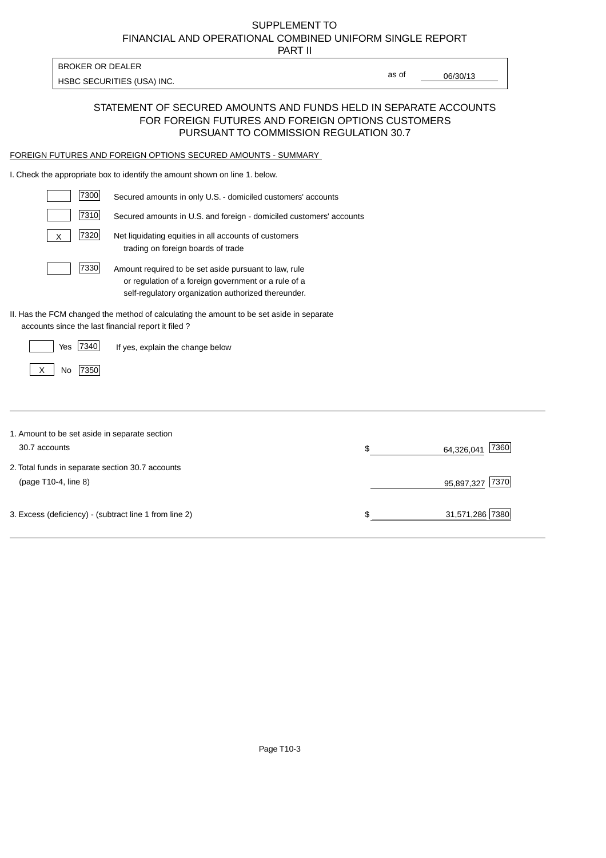# FINANCIAL AND OPERATIONAL COMBINED UNIFORM SINGLE REPORT SUPPLEMENT TO

PART II

HSBC SECURITIES (USA) INC.

BROKER OR DEALER

06/30/13

as of

#### STATEMENT OF SECURED AMOUNTS AND FUNDS HELD IN SEPARATE ACCOUNTS FOR FOREIGN FUTURES AND FOREIGN OPTIONS CUSTOMERS PURSUANT TO COMMISSION REGULATION 30.7

#### FOREIGN FUTURES AND FOREIGN OPTIONS SECURED AMOUNTS - SUMMARY

I. Check the appropriate box to identify the amount shown on line 1. below.

| 7300                                                   | Secured amounts in only U.S. - domiciled customers' accounts                                                                                                         |                          |
|--------------------------------------------------------|----------------------------------------------------------------------------------------------------------------------------------------------------------------------|--------------------------|
| 7310                                                   | Secured amounts in U.S. and foreign - domiciled customers' accounts                                                                                                  |                          |
| 7320<br>X                                              | Net liquidating equities in all accounts of customers<br>trading on foreign boards of trade                                                                          |                          |
| 7330                                                   | Amount required to be set aside pursuant to law, rule<br>or regulation of a foreign government or a rule of a<br>self-regulatory organization authorized thereunder. |                          |
| accounts since the last financial report it filed?     | II. Has the FCM changed the method of calculating the amount to be set aside in separate                                                                             |                          |
| 7340<br>Yes                                            | If yes, explain the change below                                                                                                                                     |                          |
| 7350<br>No<br>X                                        |                                                                                                                                                                      |                          |
|                                                        |                                                                                                                                                                      |                          |
| 1. Amount to be set aside in separate section          |                                                                                                                                                                      |                          |
| 30.7 accounts                                          |                                                                                                                                                                      | \$<br>7360<br>64,326,041 |
| 2. Total funds in separate section 30.7 accounts       |                                                                                                                                                                      |                          |
| (page T10-4, line 8)                                   |                                                                                                                                                                      | 7370<br>95,897,327       |
| 3. Excess (deficiency) - (subtract line 1 from line 2) |                                                                                                                                                                      | \$<br>31,571,286 7380    |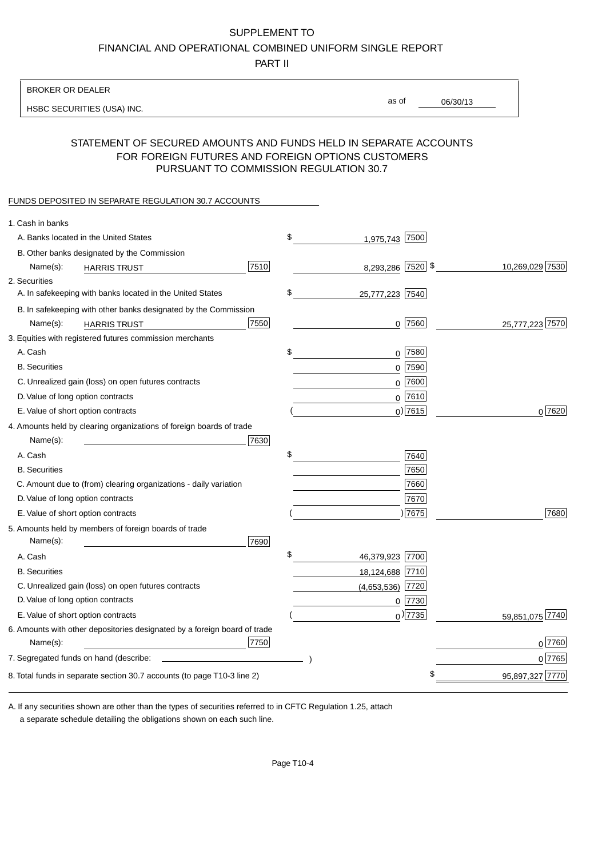#### SUPPLEMENT TO

FINANCIAL AND OPERATIONAL COMBINED UNIFORM SINGLE REPORT

PART II

#### BROKER OR DEALER

HSBC SECURITIES (USA) INC.

06/30/13 as of

## STATEMENT OF SECURED AMOUNTS AND FUNDS HELD IN SEPARATE ACCOUNTS FOR FOREIGN FUTURES AND FOREIGN OPTIONS CUSTOMERS PURSUANT TO COMMISSION REGULATION 30.7

#### FUNDS DEPOSITED IN SEPARATE REGULATION 30.7 ACCOUNTS

| 1. Cash in banks                                                          |                       |                 |
|---------------------------------------------------------------------------|-----------------------|-----------------|
| A. Banks located in the United States                                     | \$<br>1,975,743 7500  |                 |
| B. Other banks designated by the Commission                               |                       |                 |
| 7510<br>Name(s):<br><b>HARRIS TRUST</b>                                   | 8,293,286 7520 \$     | 10,269,029 7530 |
| 2. Securities                                                             |                       |                 |
| A. In safekeeping with banks located in the United States                 | \$<br>25,777,223 7540 |                 |
| B. In safekeeping with other banks designated by the Commission           |                       |                 |
| 7550<br>Name(s):<br><b>HARRIS TRUST</b>                                   | $0$  7560             | 25,777,223 7570 |
| 3. Equities with registered futures commission merchants                  |                       |                 |
| A. Cash                                                                   | \$<br>$0$ 7580        |                 |
| <b>B.</b> Securities                                                      | 0 7590                |                 |
| C. Unrealized gain (loss) on open futures contracts                       | $0$ 7600              |                 |
| D. Value of long option contracts                                         | $0$ 7610              |                 |
| E. Value of short option contracts                                        | $0$ ) 7615            | 0 7620          |
| 4. Amounts held by clearing organizations of foreign boards of trade      |                       |                 |
| Name(s):<br>7630                                                          |                       |                 |
| A. Cash                                                                   | \$<br>7640            |                 |
| <b>B.</b> Securities                                                      | 7650                  |                 |
| C. Amount due to (from) clearing organizations - daily variation          | 7660                  |                 |
| D. Value of long option contracts                                         | 7670                  |                 |
| E. Value of short option contracts                                        | $\vert 7675 \vert$    | 7680            |
| 5. Amounts held by members of foreign boards of trade<br>Name(s):<br>7690 |                       |                 |
| A. Cash                                                                   | \$<br>46,379,923 7700 |                 |
| <b>B.</b> Securities                                                      | 18,124,688 7710       |                 |
| C. Unrealized gain (loss) on open futures contracts                       | $(4,653,536)$ 7720    |                 |
| D. Value of long option contracts                                         | $0$  7730             |                 |
| E. Value of short option contracts                                        | $_0$ ) 7735           | 59,851,075 7740 |
| 6. Amounts with other depositories designated by a foreign board of trade |                       |                 |
| 7750<br>Name(s):                                                          |                       | 0 7760          |
|                                                                           |                       | 0 7765          |
| 8. Total funds in separate section 30.7 accounts (to page T10-3 line 2)   |                       | 95,897,327 7770 |
|                                                                           |                       |                 |

a separate schedule detailing the obligations shown on each such line. A. If any securities shown are other than the types of securities referred to in CFTC Regulation 1.25, attach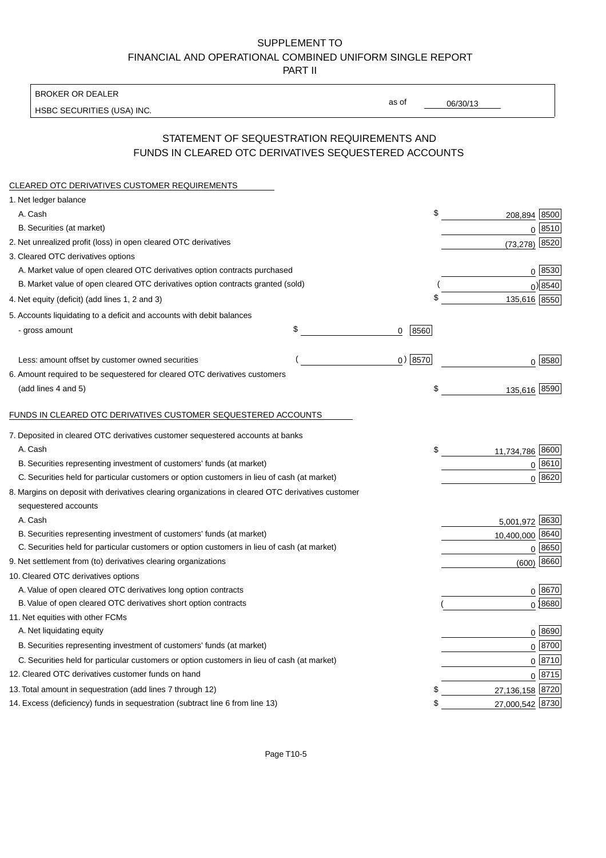# SUPPLEMENT TO FINANCIAL AND OPERATIONAL COMBINED UNIFORM SINGLE REPORT

PART II

BROKER OR DEALER

HSBC SECURITIES (USA) INC.

06/30/13

as of

## STATEMENT OF SEQUESTRATION REQUIREMENTS AND FUNDS IN CLEARED OTC DERIVATIVES SEQUESTERED ACCOUNTS

| CLEARED OTC DERIVATIVES CUSTOMER REQUIREMENTS                                                     |                 |                     |
|---------------------------------------------------------------------------------------------------|-----------------|---------------------|
| 1. Net ledger balance                                                                             |                 |                     |
| A. Cash                                                                                           | \$              | 208,894 8500        |
| B. Securities (at market)                                                                         |                 | $0^{8510}$          |
| 2. Net unrealized profit (loss) in open cleared OTC derivatives                                   |                 | (73,278) 8520       |
| 3. Cleared OTC derivatives options                                                                |                 |                     |
| A. Market value of open cleared OTC derivatives option contracts purchased                        |                 | 0   8530            |
| B. Market value of open cleared OTC derivatives option contracts granted (sold)                   |                 | $0$ ) 8540          |
| 4. Net equity (deficit) (add lines 1, 2 and 3)                                                    | \$              | 135,616 8550        |
| 5. Accounts liquidating to a deficit and accounts with debit balances                             |                 |                     |
| - gross amount                                                                                    | \$<br>8560<br>0 |                     |
| Less: amount offset by customer owned securities                                                  | $0)$ 8570       | 0 8580              |
| 6. Amount required to be sequestered for cleared OTC derivatives customers                        |                 |                     |
| (add lines 4 and 5)                                                                               | \$              | 135,616 8590        |
| FUNDS IN CLEARED OTC DERIVATIVES CUSTOMER SEQUESTERED ACCOUNTS                                    |                 |                     |
| 7. Deposited in cleared OTC derivatives customer sequestered accounts at banks                    |                 |                     |
| A. Cash                                                                                           | \$              | 11,734,786 8600     |
| B. Securities representing investment of customers' funds (at market)                             |                 | 0   8610            |
| C. Securities held for particular customers or option customers in lieu of cash (at market)       |                 | $0^{8620}$          |
| 8. Margins on deposit with derivatives clearing organizations in cleared OTC derivatives customer |                 |                     |
| sequestered accounts                                                                              |                 |                     |
| A. Cash                                                                                           |                 | 8630<br>5,001,972   |
| B. Securities representing investment of customers' funds (at market)                             |                 | 10,400,000 8640     |
| C. Securities held for particular customers or option customers in lieu of cash (at market)       |                 | 0 8650              |
| 9. Net settlement from (to) derivatives clearing organizations                                    |                 | 8660<br>(600)       |
| 10. Cleared OTC derivatives options                                                               |                 |                     |
| A. Value of open cleared OTC derivatives long option contracts                                    |                 | $0^{8670}$          |
| B. Value of open cleared OTC derivatives short option contracts                                   |                 | $0$ 8680            |
| 11. Net equities with other FCMs                                                                  |                 |                     |
| A. Net liquidating equity                                                                         |                 | 0 8690              |
| B. Securities representing investment of customers' funds (at market)                             |                 | $0$ 8700            |
| C. Securities held for particular customers or option customers in lieu of cash (at market)       |                 | $0 \overline{8710}$ |
| 12. Cleared OTC derivatives customer funds on hand                                                |                 | $0 \overline{8715}$ |
| 13. Total amount in sequestration (add lines 7 through 12)                                        | \$              | 27,136,158 8720     |
| 14. Excess (deficiency) funds in sequestration (subtract line 6 from line 13)                     | \$              | 27,000,542 8730     |